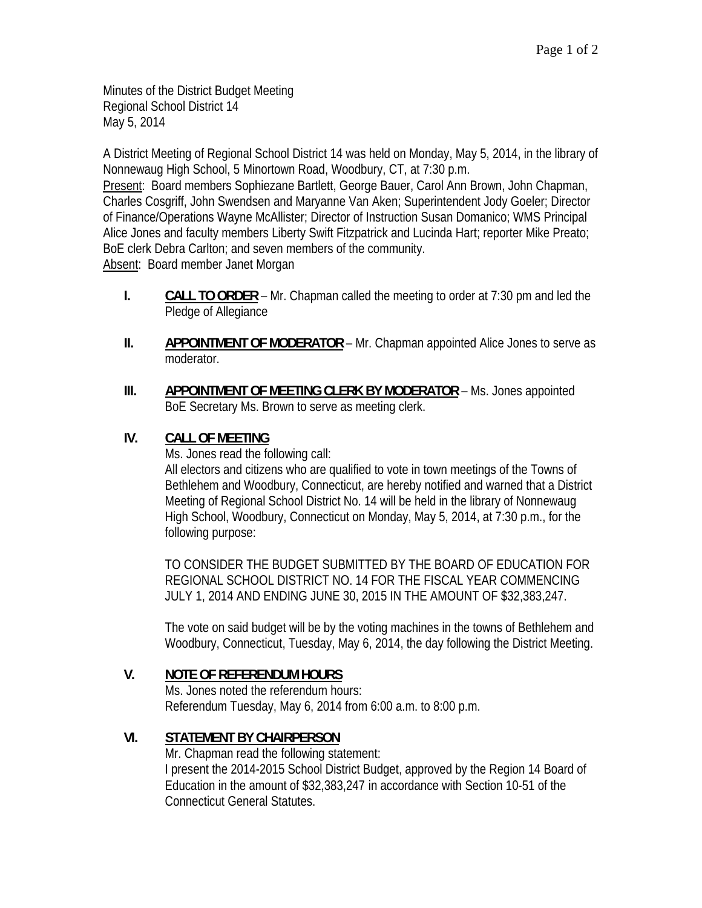Minutes of the District Budget Meeting Regional School District 14 May 5, 2014

A District Meeting of Regional School District 14 was held on Monday, May 5, 2014, in the library of Nonnewaug High School, 5 Minortown Road, Woodbury, CT, at 7:30 p.m.

Present: Board members Sophiezane Bartlett, George Bauer, Carol Ann Brown, John Chapman, Charles Cosgriff, John Swendsen and Maryanne Van Aken; Superintendent Jody Goeler; Director of Finance/Operations Wayne McAllister; Director of Instruction Susan Domanico; WMS Principal Alice Jones and faculty members Liberty Swift Fitzpatrick and Lucinda Hart; reporter Mike Preato; BoE clerk Debra Carlton; and seven members of the community.

Absent: Board member Janet Morgan

- **I. CALL TO ORDER** Mr. Chapman called the meeting to order at 7:30 pm and led the Pledge of Allegiance
- **II. APPOINTMENT OF MODERATOR** Mr. Chapman appointed Alice Jones to serve as moderator.
- **III. APPOINTMENT OF MEETING CLERK BY MODERATOR Ms. Jones appointed** BoE Secretary Ms. Brown to serve as meeting clerk.

## **IV. CALL OF MEETING**

Ms. Jones read the following call:

All electors and citizens who are qualified to vote in town meetings of the Towns of Bethlehem and Woodbury, Connecticut, are hereby notified and warned that a District Meeting of Regional School District No. 14 will be held in the library of Nonnewaug High School, Woodbury, Connecticut on Monday, May 5, 2014, at 7:30 p.m., for the following purpose:

TO CONSIDER THE BUDGET SUBMITTED BY THE BOARD OF EDUCATION FOR REGIONAL SCHOOL DISTRICT NO. 14 FOR THE FISCAL YEAR COMMENCING JULY 1, 2014 AND ENDING JUNE 30, 2015 IN THE AMOUNT OF \$32,383,247.

The vote on said budget will be by the voting machines in the towns of Bethlehem and Woodbury, Connecticut, Tuesday, May 6, 2014, the day following the District Meeting.

# **V. NOTE OF REFERENDUM HOURS**

Ms. Jones noted the referendum hours: Referendum Tuesday, May 6, 2014 from 6:00 a.m. to 8:00 p.m.

# **VI. STATEMENT BY CHAIRPERSON**

Mr. Chapman read the following statement: I present the 2014-2015 School District Budget, approved by the Region 14 Board of Education in the amount of \$32,383,247 in accordance with Section 10-51 of the Connecticut General Statutes.